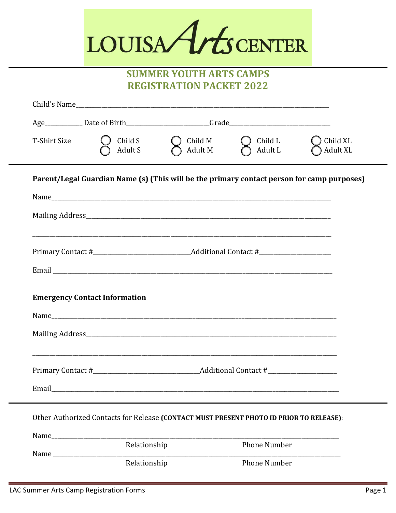# LOUISA Arts CENTER

#### **SUMMER YOUTH ARTS CAMPS REGISTRATION PACKET 2022**

| T-Shirt Size                                                                            | Child S<br>Adult S                                                                                                   | Child M<br>Adult M | Child L<br>Adult L  | Child XL<br>Adult XL |  |  |
|-----------------------------------------------------------------------------------------|----------------------------------------------------------------------------------------------------------------------|--------------------|---------------------|----------------------|--|--|
|                                                                                         | Parent/Legal Guardian Name (s) (This will be the primary contact person for camp purposes)                           |                    |                     |                      |  |  |
|                                                                                         |                                                                                                                      |                    |                     |                      |  |  |
|                                                                                         |                                                                                                                      |                    |                     |                      |  |  |
|                                                                                         | <u> 1980 - Jan James James James James James James James James James James James James James James James James J</u> |                    |                     |                      |  |  |
|                                                                                         |                                                                                                                      |                    |                     |                      |  |  |
|                                                                                         |                                                                                                                      |                    |                     |                      |  |  |
| <b>Emergency Contact Information</b>                                                    |                                                                                                                      |                    |                     |                      |  |  |
|                                                                                         |                                                                                                                      |                    |                     |                      |  |  |
|                                                                                         |                                                                                                                      |                    |                     |                      |  |  |
|                                                                                         |                                                                                                                      |                    |                     |                      |  |  |
|                                                                                         |                                                                                                                      |                    |                     |                      |  |  |
|                                                                                         | Email 2008 - 2008 - 2010 - 2010 - 2010 - 2010 - 2010 - 2010 - 2010 - 2010 - 2010 - 2010 - 2010 - 2010 - 2010 -       |                    |                     |                      |  |  |
| Other Authorized Contacts for Release (CONTACT MUST PRESENT PHOTO ID PRIOR TO RELEASE): |                                                                                                                      |                    |                     |                      |  |  |
|                                                                                         |                                                                                                                      |                    |                     |                      |  |  |
|                                                                                         |                                                                                                                      |                    | <b>Phone Number</b> |                      |  |  |
|                                                                                         |                                                                                                                      |                    | Phone Number        |                      |  |  |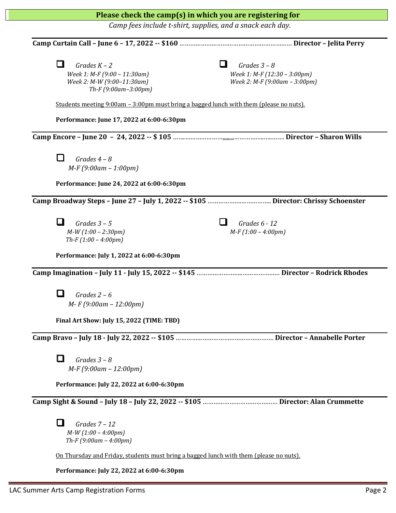| Please check the camp(s) in which you are registering for                                                                                                                                                   |                                                                                 |  |  |  |  |
|-------------------------------------------------------------------------------------------------------------------------------------------------------------------------------------------------------------|---------------------------------------------------------------------------------|--|--|--|--|
| Camp fees include t-shirt, supplies, and a snack each day.                                                                                                                                                  |                                                                                 |  |  |  |  |
|                                                                                                                                                                                                             |                                                                                 |  |  |  |  |
| - 11<br>Grades $K - 2$<br>Week 1: M-F (9:00 - 11:30am)<br>Week 2: M-W (9:00-11:30am)<br>Th-F (9:00am-3:00pm)<br>Students meeting $9:00$ am $-3:00$ pm must bring a bagged lunch with them (please no nuts). | Grades $3 - 8$<br>Week 1: M-F (12:30 - 3:00pm)<br>Week 2: M-F (9:00am - 3:00pm) |  |  |  |  |
| Performance: June 17, 2022 at 6:00-6:30pm                                                                                                                                                                   |                                                                                 |  |  |  |  |
|                                                                                                                                                                                                             |                                                                                 |  |  |  |  |
| $\mathsf{L}$<br>Grades $4 - 8$<br>$M-F(9:00am-1:00pm)$<br>Performance: June 24, 2022 at 6:00-6:30pm                                                                                                         |                                                                                 |  |  |  |  |
|                                                                                                                                                                                                             |                                                                                 |  |  |  |  |
| Grades $3 - 5$<br>$M-W(1:00 - 2:30pm)$<br>Th-F $(1:00 - 4:00pm)$                                                                                                                                            | Grades $6 - 12$<br>$M-F(1:00-4:00pm)$                                           |  |  |  |  |
| Performance: July 1, 2022 at 6:00-6:30pm                                                                                                                                                                    |                                                                                 |  |  |  |  |
| Grades $2-6$<br>$M-F(9:00am-12:00pm)$<br>Final Art Show: July 15, 2022 (TIME: TBD)                                                                                                                          |                                                                                 |  |  |  |  |
|                                                                                                                                                                                                             |                                                                                 |  |  |  |  |
| П<br>Grades $3 - 8$<br>$M-F(9:00am-12:00pm)$<br>Performance: July 22, 2022 at 6:00-6:30pm                                                                                                                   |                                                                                 |  |  |  |  |
|                                                                                                                                                                                                             |                                                                                 |  |  |  |  |
| l I<br>Grades $7 - 12$<br>$M-W(1:00 - 4:00pm)$<br>Th-F $(9:00am - 4:00pm)$                                                                                                                                  |                                                                                 |  |  |  |  |
| <u>On Thursday and Friday, students must bring a bagged lunch with them (please no nuts).</u>                                                                                                               |                                                                                 |  |  |  |  |
| Performance: July 22, 2022 at 6:00-6:30pm                                                                                                                                                                   |                                                                                 |  |  |  |  |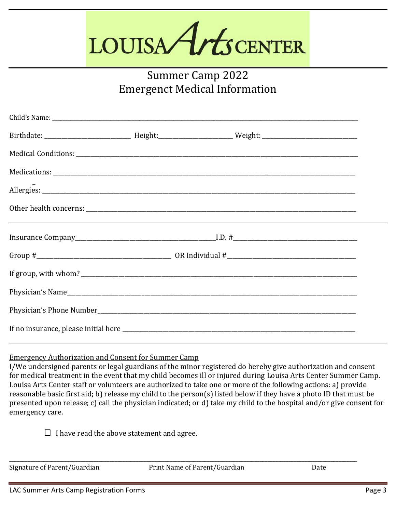# LOUISA Arts CENTER

## Summer Camp 2022 Emergenct Medical Information

Emergency Authorization and Consent for Summer Camp

I/We undersigned parents or legal guardians of the minor registered do hereby give authorization and consent for medical treatment in the event that my child becomes ill or injured during Louisa Arts Center Summer Camp. Louisa Arts Center staff or volunteers are authorized to take one or more of the following actions: a) provide reasonable basic first aid; b) release my child to the person(s) listed below if they have a photo ID that must be presented upon release; c) call the physician indicated; or d) take my child to the hospital and/or give consent for emergency care.

 $\Box$  I have read the above statement and agree.

Signature of Parent/Guardian **Print Name of Parent/Guardian** Date

\_\_\_\_\_\_\_\_\_\_\_\_\_\_\_\_\_\_\_\_\_\_\_\_\_\_\_\_\_\_\_\_\_\_\_\_\_\_\_\_\_\_\_\_\_\_\_\_\_\_\_\_\_\_\_\_\_\_\_\_\_\_\_\_\_\_\_\_\_\_\_\_\_\_\_\_\_\_\_\_\_\_\_\_\_\_\_\_\_\_\_\_\_\_\_\_\_\_\_\_\_\_\_\_\_\_\_\_\_\_\_\_\_\_\_\_\_\_\_\_\_\_\_\_\_\_\_\_\_\_\_\_